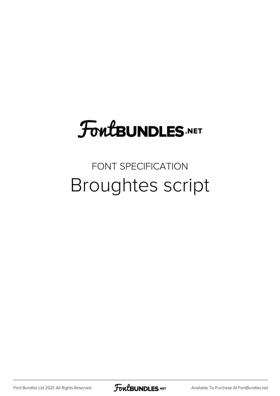### **FoutBUNDLES.NET**

### FONT SPECIFICATION Broughtes script

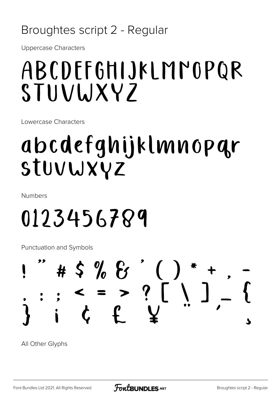### Broughtes script 2 - Regular

**Uppercase Characters** 

### ABCDEFGHIJKLMMOPQR STUVWXYZ

Lowercase Characters

## abcdefghijklmnopar STUVWXYZ

**Numbers** 

# 0123456789

Punctuation and Symbols



All Other Glyphs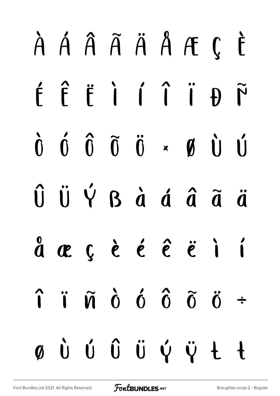# À Á Â Ã Ä Å Æ Ç È É Ê Ë Ì Í Î Ï Ð Ñ Ò Ó Ô Õ Ö × Ø Ù Ú Û Ü Ý ß à á â ã ä  $\stackrel{0}{a}$   $\stackrel{.}{c}$   $\stackrel{.}{c}$   $\stackrel{.}{c}$   $\stackrel{.}{c}$   $\stackrel{.}{c}$   $\stackrel{.}{c}$   $\stackrel{.}{c}$   $\stackrel{.}{c}$   $\stackrel{.}{c}$   $\stackrel{.}{c}$   $\stackrel{.}{c}$   $\stackrel{.}{c}$   $\stackrel{.}{c}$   $\stackrel{.}{c}$   $\stackrel{.}{c}$   $\stackrel{.}{c}$   $\stackrel{.}{c}$   $\stackrel{.}{c}$   $\stackrel{.}{c}$   $\hat{\mathbf{i}}$  i  $\tilde{\mathbf{n}}$   $\hat{\mathbf{o}}$   $\hat{\mathbf{o}}$   $\hat{\mathbf{o}}$   $\tilde{\mathbf{o}}$   $\tilde{\mathbf{o}}$   $\tilde{\mathbf{o}}$   $\tilde{\mathbf{o}}$ ø ù ú û ü ý ÿ Ł ł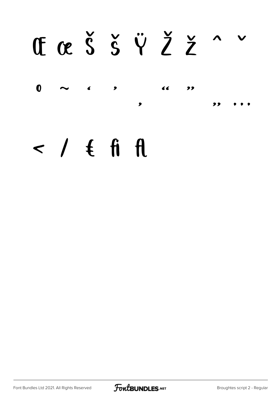# CaŠšŸŽž^

 $\mathbf 0$  $\epsilon$  $\blacktriangleright$ ,,  $\bullet$ 

### $\prime$  /  $\epsilon$  fi fl

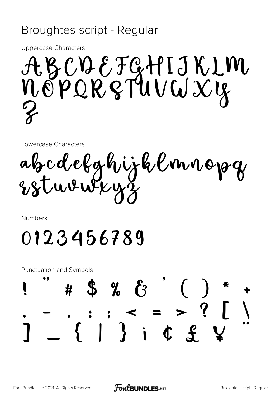#### Broughtes script - Regular

**Uppercase Characters** 

ABCDEFGHIJKLM<br>NOPQRSTUVWXY

Lowercase Characters

abcdefghijklmnopg

Numbers

0123456789

**Punctuation and Symbols**  $\frac{3}{2}$  %  $\frac{1}{2}$ l  $\frac{1}{2}$  :  $\frac{1}{2}$  :  $\frac{1}{2}$  :  $\frac{1}{2}$  :  $\frac{1}{2}$  :  $\frac{1}{2}$  :  $\frac{1}{2}$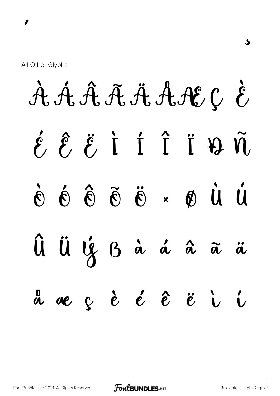AAÂAÄAAACCE  $\hat{\ell}$   $\hat{\ell}$   $\hat{i}$   $\hat{1}$   $\hat{1}$   $\hat{3}$   $\hat{3}$  $\dot{M}$   $\dot{M}$   $\dot{M}$   $\dot{M}$   $\ddot{G}$   $\ddot{G}$   $\dot{G}$   $\dot{G}$   $\dot{G}$   $\dot{G}$ Û Ü Ý B à á â ã ä a ae çèéé è  $\ddot{\mathbf{c}}$ 

ځ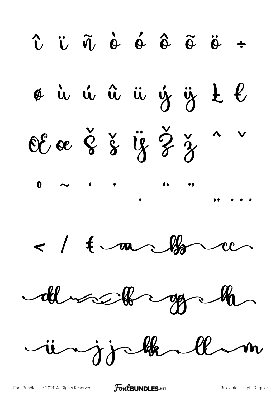$\hat{v}$   $\ddot{v}$   $\tilde{\eta}$   $\dot{e}$   $\acute{e}$   $\tilde{e}$   $\tilde{e}$   $\ddot{e}$  ÷ øù ú û ü ý ÿ t l OE œ Š š ÿ Ž ž  $\bullet$  $\leq$  /  $\frac{1}{2}$  and  $\frac{1}{2}$ 

 $d\theta$  and  $d\theta$ 

injohnlan